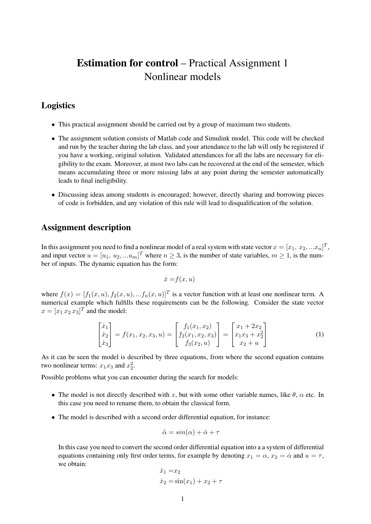## Estimation for control – Practical Assignment 1 Nonlinear models

## Logistics

- This practical assignment should be carried out by a group of maximum two students.
- The assignment solution consists of Matlab code and Simulink model. This code will be checked and run by the teacher during the lab class, and your attendance to the lab will only be registered if you have a working, original solution. Validated attendances for all the labs are necessary for eligibility to the exam. Moreover, at most two labs can be recovered at the end of the semester, which means accumulating three or more missing labs at any point during the semester automatically leads to final ineligibility.
- Discussing ideas among students is encouraged; however, directly sharing and borrowing pieces of code is forbidden, and any violation of this rule will lead to disqualification of the solution.

## Assignment description

In this assignment you need to find a nonlinear model of a real system with state vector  $x=[x_1,\,x_2,...x_n]^T,$ and input vector  $u = [u_1, u_2, ... u_m]^T$  where  $n \geq 3$ , is the number of state variables,  $m \geq 1$ , is the number of inputs. The dynamic equation has the form:

$$
\dot{x} = f(x, u)
$$

where  $f(x) = [f_1(x, u), f_2(x, u), ... f_n(x, u)]^T$  is a vector function with at least one nonlinear term. A numerical example which fulfills these requirements can be the following. Consider the state vector  $x = [x_1 \, x_2 \, x_3]^T$  and the model:

$$
\begin{bmatrix} \dot{x}_1 \\ \dot{x}_2 \\ \dot{x}_3 \end{bmatrix} = f(x_1, x_2, x_3, u) = \begin{bmatrix} f_1(x_1, x_2) \\ f_2(x_1, x_2, x_3) \\ f_3(x_2, u) \end{bmatrix} = \begin{bmatrix} x_1 + 2x_2 \\ x_1x_3 + x_2^2 \\ x_2 + u \end{bmatrix}
$$
 (1)

As it can be seen the model is described by three equations, from where the second equation contains two nonlinear terms:  $x_1x_3$  and  $x_2^2$ .

Possible problems what you can encounter during the search for models:

- The model is not directly described with x, but with some other variable names, like  $\theta$ ,  $\alpha$  etc. In this case you need to rename them, to obtain the classical form.
- The model is described with a second order differential equation, for instance:

$$
\ddot{\alpha} = \sin(\alpha) + \dot{\alpha} + \tau
$$

In this case you need to convert the second order differential equation into a a system of differential equations containing only first order terms, for example by denoting  $x_1 = \alpha$ ,  $x_2 = \dot{\alpha}$  and  $u = \tau$ , we obtain:

$$
\dot{x}_1 = x_2
$$
  
\n
$$
\dot{x}_2 = \sin(x_1) + x_2 + \tau
$$